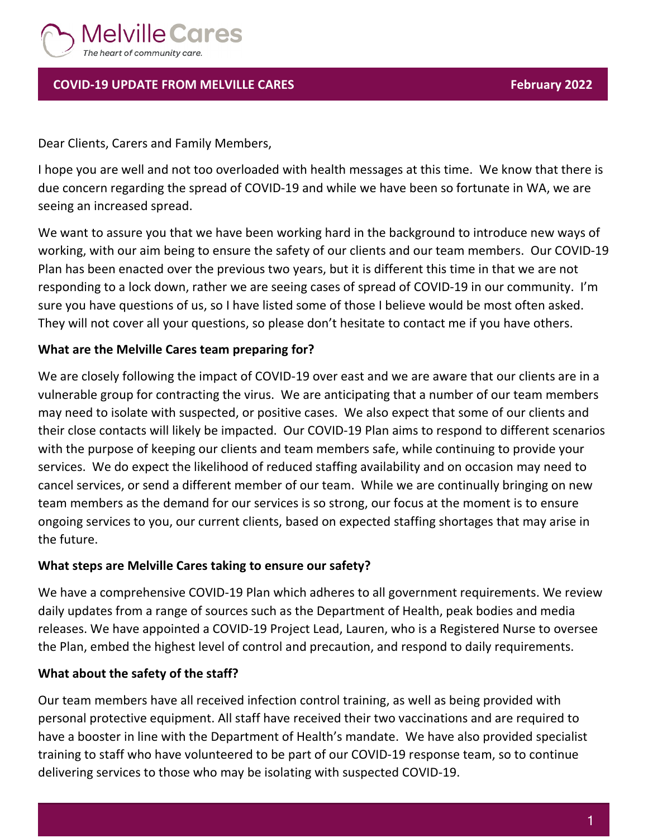

# **COVID-19 UPDATE FROM MELVILLE CARES February 2022**

Dear Clients, Carers and Family Members,

I hope you are well and not too overloaded with health messages at this time. We know that there is due concern regarding the spread of COVID-19 and while we have been so fortunate in WA, we are seeing an increased spread.

We want to assure you that we have been working hard in the background to introduce new ways of working, with our aim being to ensure the safety of our clients and our team members. Our COVID-19 Plan has been enacted over the previous two years, but it is different this time in that we are not responding to a lock down, rather we are seeing cases of spread of COVID-19 in our community. I'm sure you have questions of us, so I have listed some of those I believe would be most often asked. They will not cover all your questions, so please don't hesitate to contact me if you have others.

## **What are the Melville Cares team preparing for?**

We are closely following the impact of COVID-19 over east and we are aware that our clients are in a vulnerable group for contracting the virus. We are anticipating that a number of our team members may need to isolate with suspected, or positive cases. We also expect that some of our clients and their close contacts will likely be impacted. Our COVID-19 Plan aims to respond to different scenarios with the purpose of keeping our clients and team members safe, while continuing to provide your services. We do expect the likelihood of reduced staffing availability and on occasion may need to cancel services, or send a different member of our team. While we are continually bringing on new team members as the demand for our services is so strong, our focus at the moment is to ensure ongoing services to you, our current clients, based on expected staffing shortages that may arise in the future.

#### **What steps are Melville Cares taking to ensure our safety?**

We have a comprehensive COVID-19 Plan which adheres to all government requirements. We review daily updates from a range of sources such as the Department of Health, peak bodies and media releases. We have appointed a COVID-19 Project Lead, Lauren, who is a Registered Nurse to oversee the Plan, embed the highest level of control and precaution, and respond to daily requirements.

#### **What about the safety of the staff?**

Our team members have all received infection control training, as well as being provided with personal protective equipment. All staff have received their two vaccinations and are required to have a booster in line with the Department of Health's mandate. We have also provided specialist training to staff who have volunteered to be part of our COVID-19 response team, so to continue delivering services to those who may be isolating with suspected COVID-19.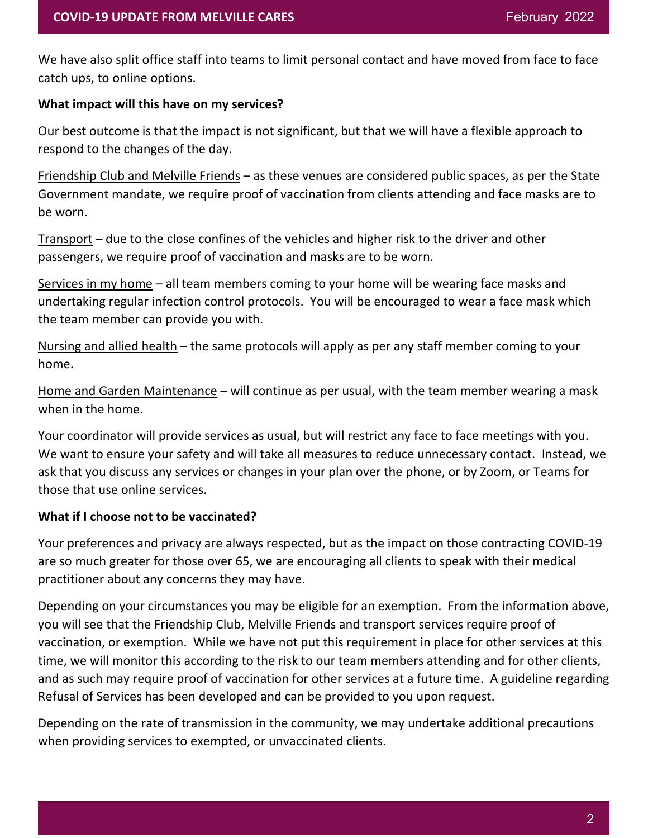We have also split office staff into teams to limit personal contact and have moved from face to face catch ups, to online options.

### **What impact will this have on my services?**

Our best outcome is that the impact is not significant, but that we will have a flexible approach to respond to the changes of the day.

Friendship Club and Melville Friends – as these venues are considered public spaces, as per the State Government mandate, we require proof of vaccination from clients attending and face masks are to be worn.

Transport – due to the close confines of the vehicles and higher risk to the driver and other passengers, we require proof of vaccination and masks are to be worn.

Services in my home – all team members coming to your home will be wearing face masks and undertaking regular infection control protocols. You will be encouraged to wear a face mask which the team member can provide you with.

Nursing and allied health – the same protocols will apply as per any staff member coming to your home.

Home and Garden Maintenance – will continue as per usual, with the team member wearing a mask when in the home.

Your coordinator will provide services as usual, but will restrict any face to face meetings with you. We want to ensure your safety and will take all measures to reduce unnecessary contact. Instead, we ask that you discuss any services or changes in your plan over the phone, or by Zoom, or Teams for those that use online services.

## **What if I choose not to be vaccinated?**

Your preferences and privacy are always respected, but as the impact on those contracting COVID-19 are so much greater for those over 65, we are encouraging all clients to speak with their medical practitioner about any concerns they may have.

Depending on your circumstances you may be eligible for an exemption. From the information above, you will see that the Friendship Club, Melville Friends and transport services require proof of vaccination, or exemption. While we have not put this requirement in place for other services at this time, we will monitor this according to the risk to our team members attending and for other clients, and as such may require proof of vaccination for other services at a future time. A guideline regarding Refusal of Services has been developed and can be provided to you upon request.

Depending on the rate of transmission in the community, we may undertake additional precautions when providing services to exempted, or unvaccinated clients.